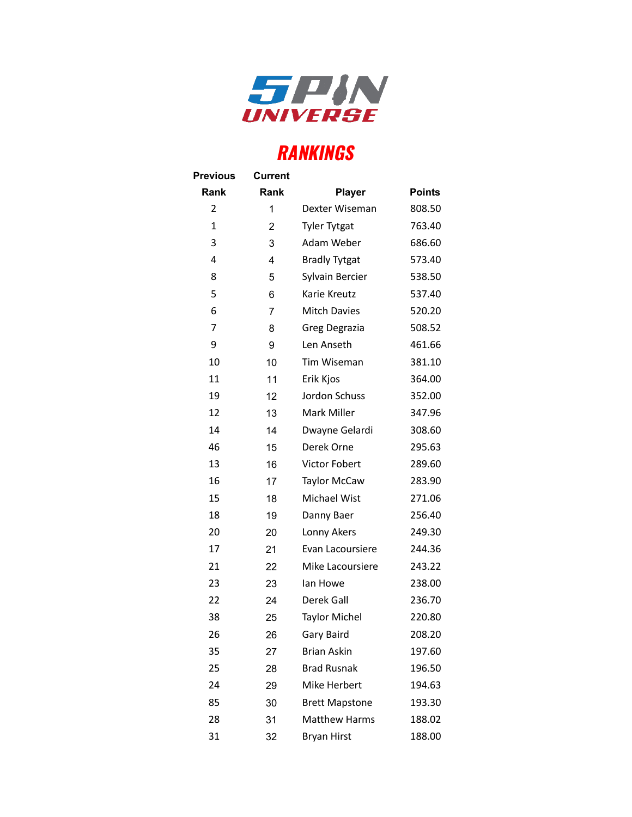

## **RANKINGS**

| <b>Previous</b> | <b>Current</b> |                       |               |
|-----------------|----------------|-----------------------|---------------|
| <b>Rank</b>     | Rank           | <b>Player</b>         | <b>Points</b> |
| $\overline{2}$  | 1              | Dexter Wiseman        | 808.50        |
| 1               | 2              | <b>Tyler Tytgat</b>   | 763.40        |
| 3               | 3              | Adam Weber            | 686.60        |
| 4               | 4              | <b>Bradly Tytgat</b>  | 573.40        |
| 8               | 5              | Sylvain Bercier       | 538.50        |
| 5               | 6              | Karie Kreutz          | 537.40        |
| 6               | 7              | Mitch Davies          | 520.20        |
| 7               | 8              | Greg Degrazia         | 508.52        |
| 9               | 9              | Len Anseth            | 461.66        |
| 10              | 10             | Tim Wiseman           | 381.10        |
| 11              | 11             | Erik Kjos             | 364.00        |
| 19              | 12             | Jordon Schuss         | 352.00        |
| 12              | 13             | Mark Miller           | 347.96        |
| 14              | 14             | Dwayne Gelardi        | 308.60        |
| 46              | 15             | Derek Orne            | 295.63        |
| 13              | 16             | Victor Fobert         | 289.60        |
| 16              | 17             | <b>Taylor McCaw</b>   | 283.90        |
| 15              | 18             | Michael Wist          | 271.06        |
| 18              | 19             | Danny Baer            | 256.40        |
| 20              | 20             | Lonny Akers           | 249.30        |
| 17              | 21             | Evan Lacoursiere      | 244.36        |
| 21              | 22             | Mike Lacoursiere      | 243.22        |
| 23              | 23             | lan Howe              | 238.00        |
| 22              | 24             | Derek Gall            | 236.70        |
| 38              | 25             | <b>Taylor Michel</b>  | 220.80        |
| 26              | 26             | Gary Baird            | 208.20        |
| 35              | 27             | <b>Brian Askin</b>    | 197.60        |
| 25              | 28             | <b>Brad Rusnak</b>    | 196.50        |
| 24              | 29             | Mike Herbert          | 194.63        |
| 85              | 30             | <b>Brett Mapstone</b> | 193.30        |
| 28              | 31             | <b>Matthew Harms</b>  | 188.02        |
| 31              | 32             | <b>Bryan Hirst</b>    | 188.00        |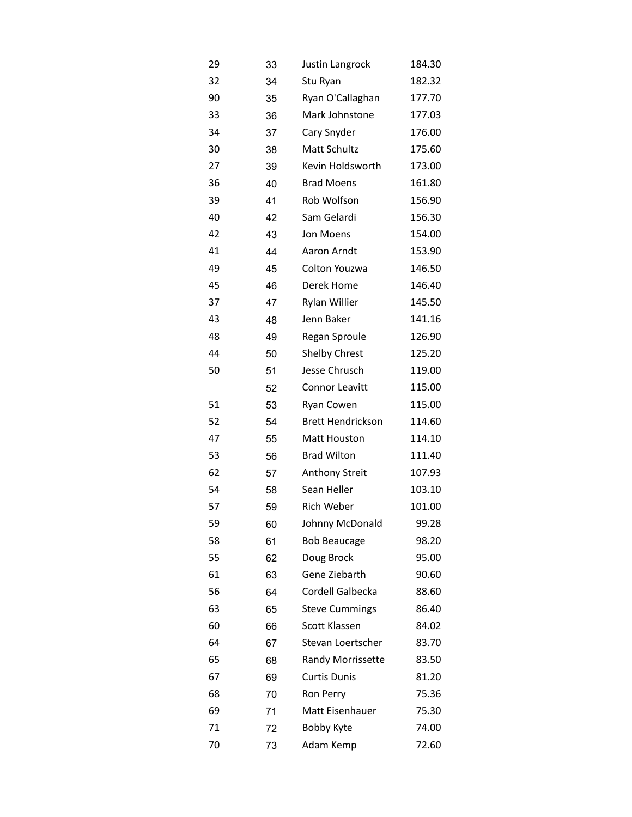| 29 | 33 | Justin Langrock          | 184.30 |
|----|----|--------------------------|--------|
| 32 | 34 | Stu Ryan                 | 182.32 |
| 90 | 35 | Ryan O'Callaghan         | 177.70 |
| 33 | 36 | Mark Johnstone           | 177.03 |
| 34 | 37 | Cary Snyder              | 176.00 |
| 30 | 38 | Matt Schultz             | 175.60 |
| 27 | 39 | Kevin Holdsworth         | 173.00 |
| 36 | 40 | <b>Brad Moens</b>        | 161.80 |
| 39 | 41 | Rob Wolfson              | 156.90 |
| 40 | 42 | Sam Gelardi              | 156.30 |
| 42 | 43 | Jon Moens                | 154.00 |
| 41 | 44 | Aaron Arndt              | 153.90 |
| 49 | 45 | Colton Youzwa            | 146.50 |
| 45 | 46 | Derek Home               | 146.40 |
| 37 | 47 | Rylan Willier            | 145.50 |
| 43 | 48 | Jenn Baker               | 141.16 |
| 48 | 49 | Regan Sproule            | 126.90 |
| 44 | 50 | Shelby Chrest            | 125.20 |
| 50 | 51 | Jesse Chrusch            | 119.00 |
|    | 52 | Connor Leavitt           | 115.00 |
| 51 | 53 | Ryan Cowen               | 115.00 |
| 52 | 54 | <b>Brett Hendrickson</b> | 114.60 |
| 47 | 55 | Matt Houston             | 114.10 |
| 53 | 56 | <b>Brad Wilton</b>       | 111.40 |
| 62 | 57 | Anthony Streit           | 107.93 |
| 54 | 58 | Sean Heller              | 103.10 |
| 57 | 59 | Rich Weber               | 101.00 |
| 59 | 60 | Johnny McDonald          | 99.28  |
| 58 | 61 | <b>Bob Beaucage</b>      | 98.20  |
| 55 | 62 | Doug Brock               | 95.00  |
| 61 | 63 | Gene Ziebarth            | 90.60  |
| 56 | 64 | Cordell Galbecka         | 88.60  |
| 63 | 65 | <b>Steve Cummings</b>    | 86.40  |
| 60 | 66 | Scott Klassen            | 84.02  |
| 64 | 67 | Stevan Loertscher        | 83.70  |
| 65 | 68 | Randy Morrissette        | 83.50  |
| 67 | 69 | <b>Curtis Dunis</b>      | 81.20  |
| 68 | 70 | Ron Perry                | 75.36  |
| 69 | 71 | Matt Eisenhauer          | 75.30  |
| 71 | 72 | Bobby Kyte               | 74.00  |
| 70 | 73 | Adam Kemp                | 72.60  |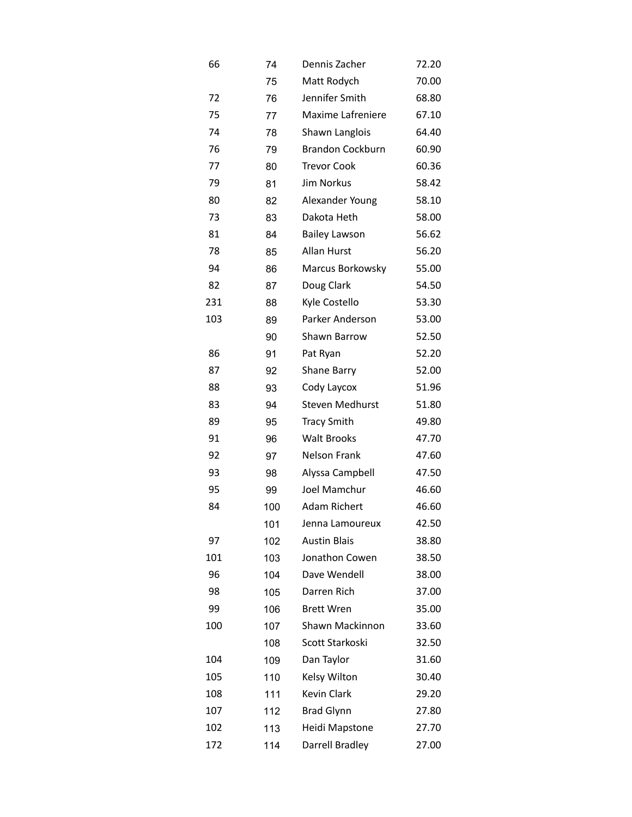| 66  | 74  | Dennis Zacher           | 72.20 |
|-----|-----|-------------------------|-------|
|     | 75  | Matt Rodych             | 70.00 |
| 72  | 76  | Jennifer Smith          | 68.80 |
| 75  | 77  | Maxime Lafreniere       | 67.10 |
| 74  | 78  | Shawn Langlois          | 64.40 |
| 76  | 79  | <b>Brandon Cockburn</b> | 60.90 |
| 77  | 80  | <b>Trevor Cook</b>      | 60.36 |
| 79  | 81  | <b>Jim Norkus</b>       | 58.42 |
| 80  | 82  | Alexander Young         | 58.10 |
| 73  | 83  | Dakota Heth             | 58.00 |
| 81  | 84  | <b>Bailey Lawson</b>    | 56.62 |
| 78  | 85  | Allan Hurst             | 56.20 |
| 94  | 86  | Marcus Borkowsky        | 55.00 |
| 82  | 87  | Doug Clark              | 54.50 |
| 231 | 88  | Kyle Costello           | 53.30 |
| 103 | 89  | Parker Anderson         | 53.00 |
|     | 90  | Shawn Barrow            | 52.50 |
| 86  | 91  | Pat Ryan                | 52.20 |
| 87  | 92  | Shane Barry             | 52.00 |
| 88  | 93  | Cody Laycox             | 51.96 |
| 83  | 94  | <b>Steven Medhurst</b>  | 51.80 |
| 89  | 95  | <b>Tracy Smith</b>      | 49.80 |
| 91  | 96  | <b>Walt Brooks</b>      | 47.70 |
| 92  | 97  | <b>Nelson Frank</b>     | 47.60 |
| 93  | 98  | Alyssa Campbell         | 47.50 |
| 95  | 99  | Joel Mamchur            | 46.60 |
| 84  | 100 | <b>Adam Richert</b>     | 46.60 |
|     | 101 | Jenna Lamoureux         | 42.50 |
| 97  | 102 | <b>Austin Blais</b>     | 38.80 |
| 101 | 103 | Jonathon Cowen          | 38.50 |
| 96  | 104 | Dave Wendell            | 38.00 |
| 98  | 105 | Darren Rich             | 37.00 |
| 99  | 106 | <b>Brett Wren</b>       | 35.00 |
| 100 | 107 | Shawn Mackinnon         | 33.60 |
|     | 108 | Scott Starkoski         | 32.50 |
| 104 | 109 | Dan Taylor              | 31.60 |
| 105 | 110 | Kelsy Wilton            | 30.40 |
| 108 | 111 | Kevin Clark             | 29.20 |
| 107 | 112 | <b>Brad Glynn</b>       | 27.80 |
| 102 | 113 | Heidi Mapstone          | 27.70 |
| 172 | 114 | Darrell Bradley         | 27.00 |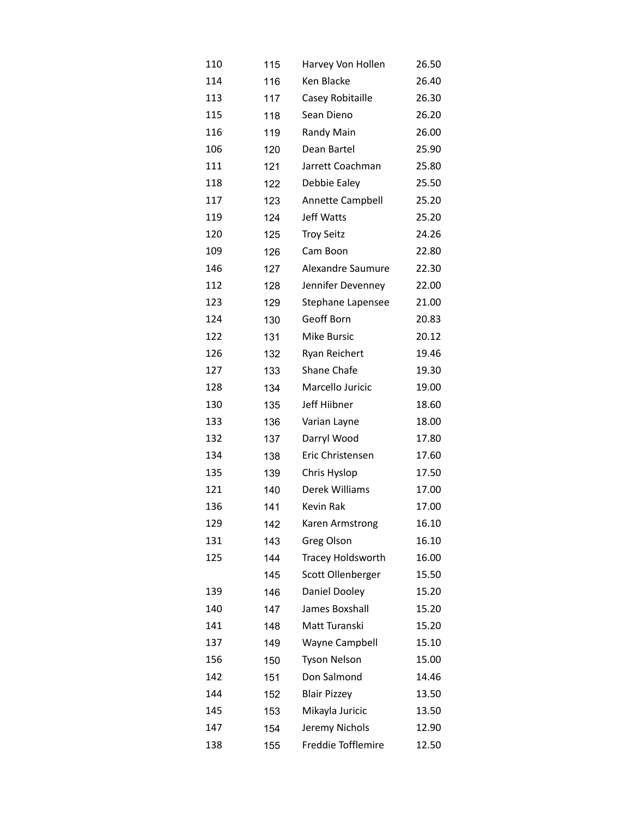| 110 | 115 | Harvey Von Hollen   | 26.50 |
|-----|-----|---------------------|-------|
| 114 | 116 | Ken Blacke          | 26.40 |
| 113 | 117 | Casey Robitaille    | 26.30 |
| 115 | 118 | Sean Dieno          | 26.20 |
| 116 | 119 | Randy Main          | 26.00 |
| 106 | 120 | Dean Bartel         | 25.90 |
| 111 | 121 | Jarrett Coachman    | 25.80 |
| 118 | 122 | Debbie Ealey        | 25.50 |
| 117 | 123 | Annette Campbell    | 25.20 |
| 119 | 124 | Jeff Watts          | 25.20 |
| 120 | 125 | <b>Troy Seitz</b>   | 24.26 |
| 109 | 126 | Cam Boon            | 22.80 |
| 146 | 127 | Alexandre Saumure   | 22.30 |
| 112 | 128 | Jennifer Devenney   | 22.00 |
| 123 | 129 | Stephane Lapensee   | 21.00 |
| 124 | 130 | Geoff Born          | 20.83 |
| 122 | 131 | <b>Mike Bursic</b>  | 20.12 |
| 126 | 132 | Ryan Reichert       | 19.46 |
| 127 | 133 | Shane Chafe         | 19.30 |
| 128 | 134 | Marcello Juricic    | 19.00 |
| 130 | 135 | Jeff Hiibner        | 18.60 |
| 133 | 136 | Varian Layne        | 18.00 |
| 132 | 137 | Darryl Wood         | 17.80 |
| 134 | 138 | Eric Christensen    | 17.60 |
| 135 | 139 | Chris Hyslop        | 17.50 |
| 121 | 140 | Derek Williams      | 17.00 |
| 136 | 141 | Kevin Rak           | 17.00 |
| 129 | 142 | Karen Armstrong     | 16.10 |
| 131 | 143 | Greg Olson          | 16.10 |
| 125 | 144 | Tracey Holdsworth   | 16.00 |
|     | 145 | Scott Ollenberger   | 15.50 |
| 139 | 146 | Daniel Dooley       | 15.20 |
| 140 | 147 | James Boxshall      | 15.20 |
| 141 | 148 | Matt Turanski       | 15.20 |
| 137 | 149 | Wayne Campbell      | 15.10 |
| 156 | 150 | <b>Tyson Nelson</b> | 15.00 |
| 142 | 151 | Don Salmond         | 14.46 |
| 144 | 152 | <b>Blair Pizzey</b> | 13.50 |
| 145 | 153 | Mikayla Juricic     | 13.50 |
| 147 | 154 | Jeremy Nichols      | 12.90 |
| 138 | 155 | Freddie Tofflemire  | 12.50 |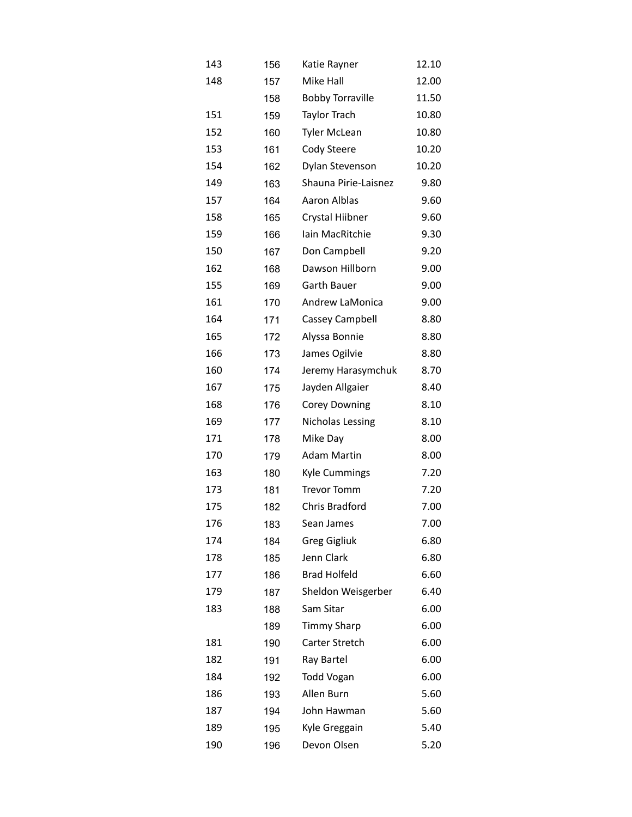| 143 | 156 | Katie Rayner            | 12.10 |
|-----|-----|-------------------------|-------|
| 148 | 157 | Mike Hall               | 12.00 |
|     | 158 | <b>Bobby Torraville</b> | 11.50 |
| 151 | 159 | Taylor Trach            | 10.80 |
| 152 | 160 | <b>Tyler McLean</b>     | 10.80 |
| 153 | 161 | Cody Steere             | 10.20 |
| 154 | 162 | Dylan Stevenson         | 10.20 |
| 149 | 163 | Shauna Pirie-Laisnez    | 9.80  |
| 157 | 164 | Aaron Alblas            | 9.60  |
| 158 | 165 | Crystal Hiibner         | 9.60  |
| 159 | 166 | Iain MacRitchie         | 9.30  |
| 150 | 167 | Don Campbell            | 9.20  |
| 162 | 168 | Dawson Hillborn         | 9.00  |
| 155 | 169 | Garth Bauer             | 9.00  |
| 161 | 170 | Andrew LaMonica         | 9.00  |
| 164 | 171 | Cassey Campbell         | 8.80  |
| 165 | 172 | Alyssa Bonnie           | 8.80  |
| 166 | 173 | James Ogilvie           | 8.80  |
| 160 | 174 | Jeremy Harasymchuk      | 8.70  |
| 167 | 175 | Jayden Allgaier         | 8.40  |
| 168 | 176 | <b>Corey Downing</b>    | 8.10  |
| 169 | 177 | <b>Nicholas Lessing</b> | 8.10  |
| 171 | 178 | Mike Day                | 8.00  |
| 170 | 179 | <b>Adam Martin</b>      | 8.00  |
| 163 | 180 | <b>Kyle Cummings</b>    | 7.20  |
| 173 | 181 | <b>Trevor Tomm</b>      | 7.20  |
| 175 | 182 | Chris Bradford          | 7.00  |
| 176 | 183 | Sean James              | 7.00  |
| 174 | 184 | <b>Greg Gigliuk</b>     | 6.80  |
| 178 | 185 | Jenn Clark              | 6.80  |
| 177 | 186 | <b>Brad Holfeld</b>     | 6.60  |
| 179 | 187 | Sheldon Weisgerber      | 6.40  |
| 183 | 188 | Sam Sitar               | 6.00  |
|     | 189 | <b>Timmy Sharp</b>      | 6.00  |
| 181 | 190 | Carter Stretch          | 6.00  |
| 182 | 191 | Ray Bartel              | 6.00  |
| 184 | 192 | <b>Todd Vogan</b>       | 6.00  |
| 186 | 193 | Allen Burn              | 5.60  |
| 187 | 194 | John Hawman             | 5.60  |
| 189 | 195 | Kyle Greggain           | 5.40  |
| 190 | 196 | Devon Olsen             | 5.20  |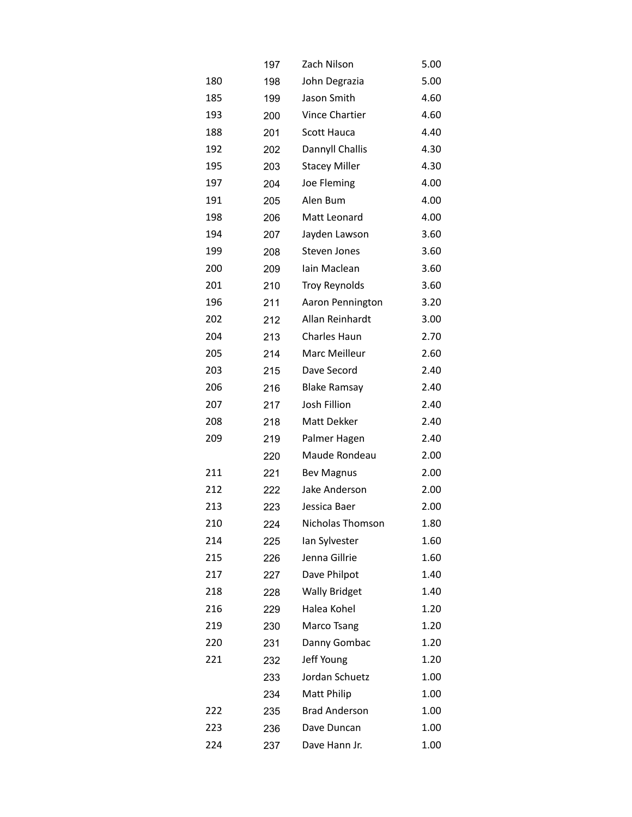|     | 197 | Zach Nilson           | 5.00 |
|-----|-----|-----------------------|------|
| 180 | 198 | John Degrazia         | 5.00 |
| 185 | 199 | Jason Smith           | 4.60 |
| 193 | 200 | <b>Vince Chartier</b> | 4.60 |
| 188 | 201 | Scott Hauca           | 4.40 |
| 192 | 202 | Dannyll Challis       | 4.30 |
| 195 | 203 | <b>Stacey Miller</b>  | 4.30 |
| 197 | 204 | Joe Fleming           | 4.00 |
| 191 | 205 | Alen Bum              | 4.00 |
| 198 | 206 | Matt Leonard          | 4.00 |
| 194 | 207 | Jayden Lawson         | 3.60 |
| 199 | 208 | Steven Jones          | 3.60 |
| 200 | 209 | lain Maclean          | 3.60 |
| 201 | 210 | <b>Troy Reynolds</b>  | 3.60 |
| 196 | 211 | Aaron Pennington      | 3.20 |
| 202 | 212 | Allan Reinhardt       | 3.00 |
| 204 | 213 | <b>Charles Haun</b>   | 2.70 |
| 205 | 214 | Marc Meilleur         | 2.60 |
| 203 | 215 | Dave Secord           | 2.40 |
| 206 | 216 | <b>Blake Ramsay</b>   | 2.40 |
| 207 | 217 | Josh Fillion          | 2.40 |
| 208 | 218 | Matt Dekker           | 2.40 |
| 209 | 219 | Palmer Hagen          | 2.40 |
|     | 220 | Maude Rondeau         | 2.00 |
| 211 | 221 | <b>Bev Magnus</b>     | 2.00 |
| 212 | 222 | Jake Anderson         | 2.00 |
| 213 | 223 | Jessica Baer          | 2.00 |
| 210 | 224 | Nicholas Thomson      | 1.80 |
| 214 | 225 | lan Sylvester         | 1.60 |
| 215 | 226 | Jenna Gillrie         | 1.60 |
| 217 | 227 | Dave Philpot          | 1.40 |
| 218 | 228 | <b>Wally Bridget</b>  | 1.40 |
| 216 | 229 | Halea Kohel           | 1.20 |
| 219 | 230 | Marco Tsang           | 1.20 |
| 220 | 231 | Danny Gombac          | 1.20 |
| 221 | 232 | Jeff Young            | 1.20 |
|     | 233 | Jordan Schuetz        | 1.00 |
|     | 234 | Matt Philip           | 1.00 |
| 222 | 235 | <b>Brad Anderson</b>  | 1.00 |
| 223 | 236 | Dave Duncan           | 1.00 |
| 224 | 237 | Dave Hann Jr.         | 1.00 |